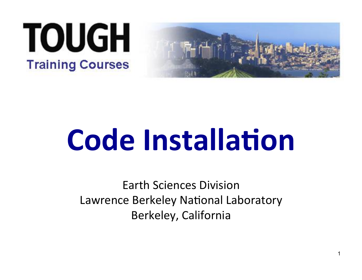



# **Code Installation**

Earth Sciences Division Lawrence Berkeley National Laboratory Berkeley, California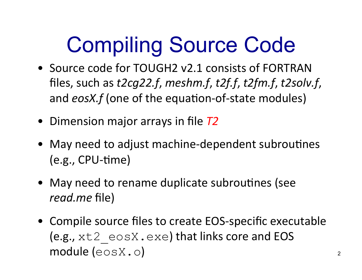## Compiling Source Code

- Source code for TOUGH2 v2.1 consists of FORTRAN files, such as  $t2cg22.f$ , meshm.f,  $t2f.f$ ,  $t2fm.f$ ,  $t2solv.f$ , and *eosX.f* (one of the equation-of-state modules)
- Dimension major arrays in file  $T2$
- May need to adjust machine-dependent subroutines  $(e.g., CPU-time)$
- May need to rename duplicate subroutines (see *read.me* file)
- Compile source files to create EOS-specific executable (e.g.,  $xt2 \cos X$ .  $exe$ ) that links core and EOS module (eosX.o)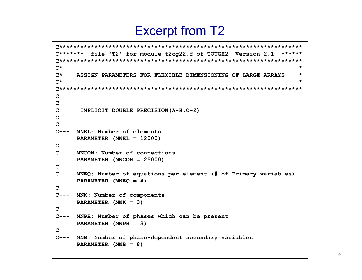#### Excerpt from T2

```
C********************************************************************* 
C******* file 'T2' for module t2cg22.f of TOUGH2, Version 2.1 ****** 
C********************************************************************* 
C* * 
C* ASSIGN PARAMETERS FOR FLEXIBLE DIMENSIONING OF LARGE ARRAYS * 
C* * 
C********************************************************************* 
C 
C 
C IMPLICIT DOUBLE PRECISION(A-H,O-Z) 
C 
C 
C--- MNEL: Number of elements 
      PARAMETER (MNEL = 12000) 
C 
C--- MNCON: Number of connections 
      PARAMETER (MNCON = 25000) 
C 
C--- MNEQ: Number of equations per element (# of Primary variables) 
      PARAMETER (MNEQ = 4) 
C 
C--- MNK: Number of components 
      PARAMETER (MNK = 3) 
C 
C--- MNPH: Number of phases which can be present 
      PARAMETER (MNPH = 3) 
C 
C--- MNB: Number of phase-dependent secondary variables 
      PARAMETER (MNB = 8) 
…
```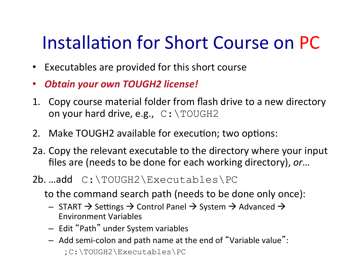#### Installation for Short Course on PC

- Executables are provided for this short course
- *Obtain'your'own'TOUGH2'license!'*
- 1. Copy course material folder from flash drive to a new directory on your hard drive, e.g.,  $C: \T0UGH2$
- 2. Make TOUGH2 available for execution; two options:
- 2a. Copy the relevant executable to the directory where your input files are (needs to be done for each working directory), or...
- 2b. ..add C:\TOUGH2\Executables\PC
	- to the command search path (needs to be done only once):
		- $-$  START  $\rightarrow$  Settings  $\rightarrow$  Control Panel  $\rightarrow$  System  $\rightarrow$  Advanced  $\rightarrow$ Environment&Variables&
		- $-$  Edit "Path" under System variables
		- $-$  Add semi-colon and path name at the end of "Variable value": ;&C:\TOUGH2\Executables\PC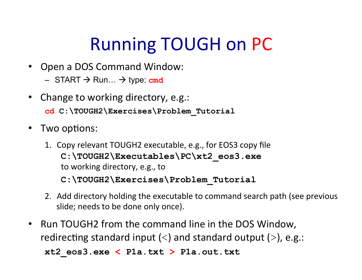### Running TOUGH on PC

- Open a DOS Command Window:
	- $-$  START  $\rightarrow$  Run...  $\rightarrow$  type: cmd
- Change to working directory, e.g.: **cd C:\TOUGH2\Exercises\Problem\_Tutorial**
- Two options:
	- 1. Copy relevant TOUGH2 executable, e.g., for EOS3 copy file **C:\TOUGH2\Executables\PC\xt2\_eos3.exe**&& to working directory, e.g., to **C:\TOUGH2\Exercises\Problem\_Tutorial**
	- 2. Add directory holding the executable to command search path (see previous slide; needs to be done only once).
- Run TOUGH2 from the command line in the DOS Window, redirecting standard input  $(\le)$  and standard output  $(\ge)$ , e.g.:

**xt2\_eos3.exe < P1a.txt > P1a.out.txt**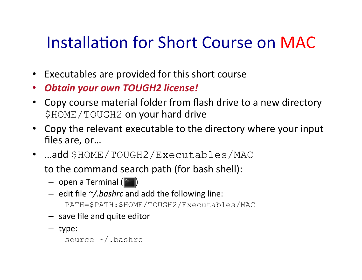#### Installation for Short Course on MAC

- Executables are provided for this short course
- *Obtain'your'own'TOUGH2'license!'*
- Copy course material folder from flash drive to a new directory \$HOME/TOUGH2 on your hard drive
- Copy the relevant executable to the directory where your input files are, or...
- …add \$HOME/TOUGH2/Executables/MAC

to the command search path (for bash shell):

- $-$  open a Terminal ( $\geq$ )
- $-$  edit file  $\gamma$ *.bashrc* and add the following line: PATH=\$PATH:\$HOME/TOUGH2/Executables/MAC
- $-$  save file and quite editor
- type:

```
source ~/.bashrc
```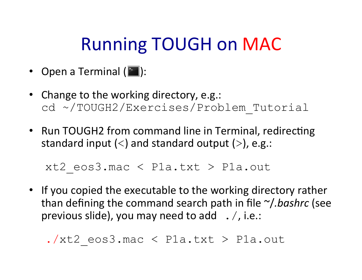#### Running TOUGH on MAC

- Open a Terminal  $(\Box)$ :
- Change to the working directory, e.g.: cd ~/TOUGH2/Exercises/Problem\_Tutorial
- Run TOUGH2 from command line in Terminal, redirecting standard input  $(<)$  and standard output  $(>)$ , e.g.:

```
xt2 eos3.mac < P1a.txt > P1a.out
```
• If you copied the executable to the working directory rather than defining the command search path in file ~/*.bashrc* (see previous slide), you may need to add  $\ldots$ , i.e.:

 $\lambda$ xt2 eos3.mac < P1a.txt > P1a.out